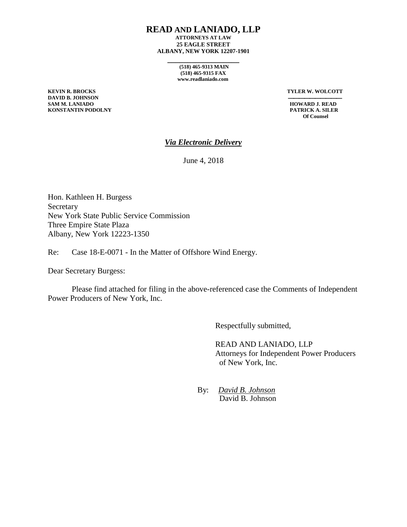### **READ AND LANIADO, LLP**

**ATTORNEYS AT LAW 25 EAGLE STREET ALBANY, NEW YORK 12207-1901**

**\_\_\_\_\_\_\_\_\_\_\_\_\_\_\_\_\_\_**

**(518) 465-9313 MAIN (518) 465-9315 FAX www.readlaniado.com**

**DAVID B. JOHNSON**<br>SAM M. LANIADO **KONSTANTIN PODOLNY PATRICK A. SILER**

**KEVIN R. BROCKS TYLER W. WOLCOTT**

**HOWARD J. READ Of Counsel**

## *Via Electronic Delivery*

June 4, 2018

Hon. Kathleen H. Burgess Secretary New York State Public Service Commission Three Empire State Plaza Albany, New York 12223-1350

Re: Case 18-E-0071 - In the Matter of Offshore Wind Energy.

Dear Secretary Burgess:

Please find attached for filing in the above-referenced case the Comments of Independent Power Producers of New York, Inc.

Respectfully submitted,

READ AND LANIADO, LLP Attorneys for Independent Power Producers of New York, Inc.

By: *David B. Johnson* David B. Johnson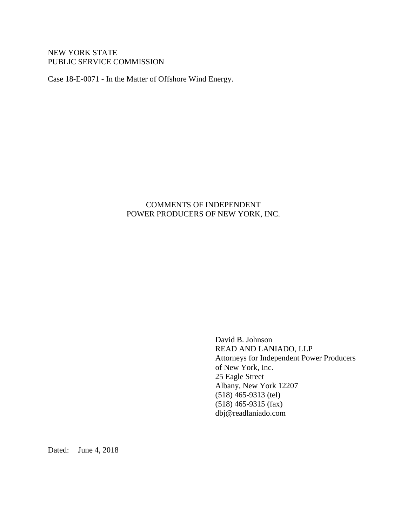# NEW YORK STATE PUBLIC SERVICE COMMISSION

Case 18-E-0071 - In the Matter of Offshore Wind Energy.

# COMMENTS OF INDEPENDENT POWER PRODUCERS OF NEW YORK, INC.

David B. Johnson READ AND LANIADO, LLP Attorneys for Independent Power Producers of New York, Inc. 25 Eagle Street Albany, New York 12207 (518) 465-9313 (tel) (518) 465-9315 (fax) dbj@readlaniado.com

Dated: June 4, 2018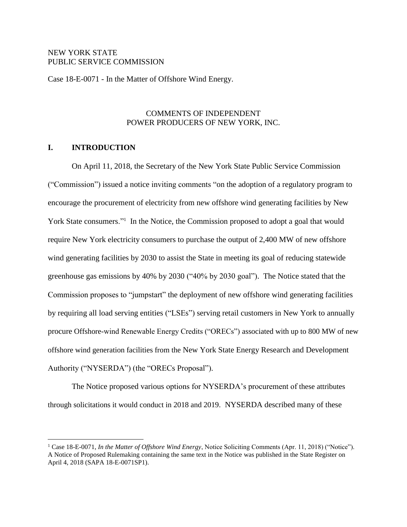## NEW YORK STATE PUBLIC SERVICE COMMISSION

Case 18-E-0071 - In the Matter of Offshore Wind Energy.

# COMMENTS OF INDEPENDENT POWER PRODUCERS OF NEW YORK, INC.

# **I. INTRODUCTION**

 $\overline{a}$ 

On April 11, 2018, the Secretary of the New York State Public Service Commission ("Commission") issued a notice inviting comments "on the adoption of a regulatory program to encourage the procurement of electricity from new offshore wind generating facilities by New York State consumers."<sup>1</sup> In the Notice, the Commission proposed to adopt a goal that would require New York electricity consumers to purchase the output of 2,400 MW of new offshore wind generating facilities by 2030 to assist the State in meeting its goal of reducing statewide greenhouse gas emissions by 40% by 2030 ("40% by 2030 goal"). The Notice stated that the Commission proposes to "jumpstart" the deployment of new offshore wind generating facilities by requiring all load serving entities ("LSEs") serving retail customers in New York to annually procure Offshore-wind Renewable Energy Credits ("ORECs") associated with up to 800 MW of new offshore wind generation facilities from the New York State Energy Research and Development Authority ("NYSERDA") (the "ORECs Proposal").

The Notice proposed various options for NYSERDA's procurement of these attributes through solicitations it would conduct in 2018 and 2019. NYSERDA described many of these

<sup>&</sup>lt;sup>1</sup> Case 18-E-0071, *In the Matter of Offshore Wind Energy*, Notice Soliciting Comments (Apr. 11, 2018) ("Notice"). A Notice of Proposed Rulemaking containing the same text in the Notice was published in the State Register on April 4, 2018 (SAPA 18-E-0071SP1).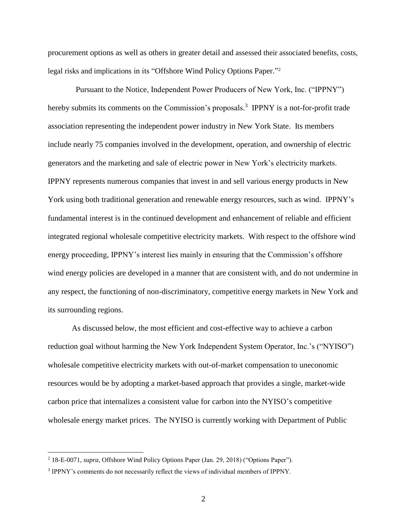procurement options as well as others in greater detail and assessed their associated benefits, costs, legal risks and implications in its "Offshore Wind Policy Options Paper." 2

 Pursuant to the Notice, Independent Power Producers of New York, Inc. ("IPPNY") hereby submits its comments on the Commission's proposals.<sup>3</sup> IPPNY is a not-for-profit trade association representing the independent power industry in New York State. Its members include nearly 75 companies involved in the development, operation, and ownership of electric generators and the marketing and sale of electric power in New York's electricity markets. IPPNY represents numerous companies that invest in and sell various energy products in New York using both traditional generation and renewable energy resources, such as wind. IPPNY's fundamental interest is in the continued development and enhancement of reliable and efficient integrated regional wholesale competitive electricity markets. With respect to the offshore wind energy proceeding, IPPNY's interest lies mainly in ensuring that the Commission's offshore wind energy policies are developed in a manner that are consistent with, and do not undermine in any respect, the functioning of non-discriminatory, competitive energy markets in New York and its surrounding regions.

As discussed below, the most efficient and cost-effective way to achieve a carbon reduction goal without harming the New York Independent System Operator, Inc.'s ("NYISO") wholesale competitive electricity markets with out-of-market compensation to uneconomic resources would be by adopting a market-based approach that provides a single, market-wide carbon price that internalizes a consistent value for carbon into the NYISO's competitive wholesale energy market prices. The NYISO is currently working with Department of Public

<sup>2</sup> 18-E-0071, *supra*, Offshore Wind Policy Options Paper (Jan. 29, 2018) ("Options Paper").

<sup>&</sup>lt;sup>3</sup> IPPNY's comments do not necessarily reflect the views of individual members of IPPNY.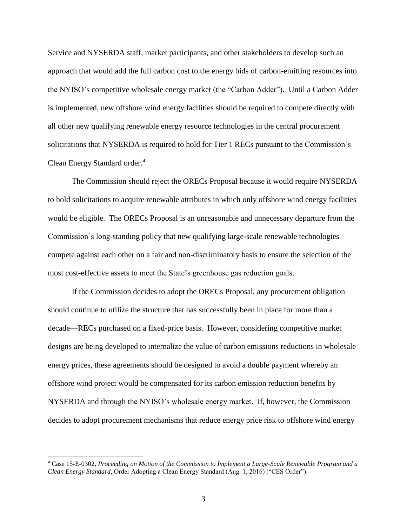Service and NYSERDA staff, market participants, and other stakeholders to develop such an approach that would add the full carbon cost to the energy bids of carbon-emitting resources into the NYISO's competitive wholesale energy market (the "Carbon Adder"). Until a Carbon Adder is implemented, new offshore wind energy facilities should be required to compete directly with all other new qualifying renewable energy resource technologies in the central procurement solicitations that NYSERDA is required to hold for Tier 1 RECs pursuant to the Commission's Clean Energy Standard order.<sup>4</sup>

The Commission should reject the ORECs Proposal because it would require NYSERDA to hold solicitations to acquire renewable attributes in which only offshore wind energy facilities would be eligible. The ORECs Proposal is an unreasonable and unnecessary departure from the Commission's long-standing policy that new qualifying large-scale renewable technologies compete against each other on a fair and non-discriminatory basis to ensure the selection of the most cost-effective assets to meet the State's greenhouse gas reduction goals.

If the Commission decides to adopt the ORECs Proposal, any procurement obligation should continue to utilize the structure that has successfully been in place for more than a decade—RECs purchased on a fixed-price basis. However, considering competitive market designs are being developed to internalize the value of carbon emissions reductions in wholesale energy prices, these agreements should be designed to avoid a double payment whereby an offshore wind project would be compensated for its carbon emission reduction benefits by NYSERDA and through the NYISO's wholesale energy market. If, however, the Commission decides to adopt procurement mechanisms that reduce energy price risk to offshore wind energy

<sup>4</sup> Case 15-E-0302, *Proceeding on Motion of the Commission to Implement a Large-Scale Renewable Program and a Clean Energy Standard*, Order Adopting a Clean Energy Standard (Aug. 1, 2016) ("CES Order").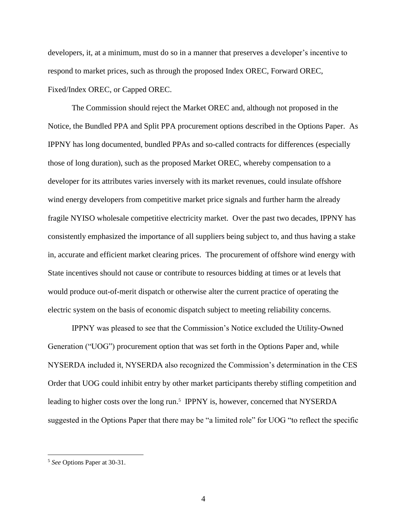developers, it, at a minimum, must do so in a manner that preserves a developer's incentive to respond to market prices, such as through the proposed Index OREC, Forward OREC, Fixed/Index OREC, or Capped OREC.

The Commission should reject the Market OREC and, although not proposed in the Notice, the Bundled PPA and Split PPA procurement options described in the Options Paper. As IPPNY has long documented, bundled PPAs and so-called contracts for differences (especially those of long duration), such as the proposed Market OREC, whereby compensation to a developer for its attributes varies inversely with its market revenues, could insulate offshore wind energy developers from competitive market price signals and further harm the already fragile NYISO wholesale competitive electricity market. Over the past two decades, IPPNY has consistently emphasized the importance of all suppliers being subject to, and thus having a stake in, accurate and efficient market clearing prices. The procurement of offshore wind energy with State incentives should not cause or contribute to resources bidding at times or at levels that would produce out-of-merit dispatch or otherwise alter the current practice of operating the electric system on the basis of economic dispatch subject to meeting reliability concerns.

IPPNY was pleased to see that the Commission's Notice excluded the Utility-Owned Generation ("UOG") procurement option that was set forth in the Options Paper and, while NYSERDA included it, NYSERDA also recognized the Commission's determination in the CES Order that UOG could inhibit entry by other market participants thereby stifling competition and leading to higher costs over the long run.<sup>5</sup> IPPNY is, however, concerned that NYSERDA suggested in the Options Paper that there may be "a limited role" for UOG "to reflect the specific

<sup>5</sup> *See* Options Paper at 30-31.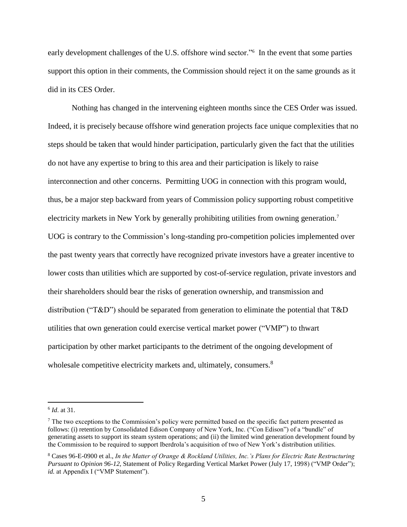early development challenges of the U.S. offshore wind sector."<sup>6</sup> In the event that some parties support this option in their comments, the Commission should reject it on the same grounds as it did in its CES Order.

Nothing has changed in the intervening eighteen months since the CES Order was issued. Indeed, it is precisely because offshore wind generation projects face unique complexities that no steps should be taken that would hinder participation, particularly given the fact that the utilities do not have any expertise to bring to this area and their participation is likely to raise interconnection and other concerns. Permitting UOG in connection with this program would, thus, be a major step backward from years of Commission policy supporting robust competitive electricity markets in New York by generally prohibiting utilities from owning generation.<sup>7</sup> UOG is contrary to the Commission's long-standing pro-competition policies implemented over the past twenty years that correctly have recognized private investors have a greater incentive to lower costs than utilities which are supported by cost-of-service regulation, private investors and their shareholders should bear the risks of generation ownership, and transmission and distribution ("T&D") should be separated from generation to eliminate the potential that T&D utilities that own generation could exercise vertical market power ("VMP") to thwart participation by other market participants to the detriment of the ongoing development of wholesale competitive electricity markets and, ultimately, consumers.<sup>8</sup>

<sup>6</sup> *Id*. at 31.

 $<sup>7</sup>$  The two exceptions to the Commission's policy were permitted based on the specific fact pattern presented as</sup> follows: (i) retention by Consolidated Edison Company of New York, Inc. ("Con Edison") of a "bundle" of generating assets to support its steam system operations; and (ii) the limited wind generation development found by the Commission to be required to support Iberdrola's acquisition of two of New York's distribution utilities.

<sup>8</sup> Cases 96-E-0900 et al., *In the Matter of Orange & Rockland Utilities, Inc.'s Plans for Electric Rate Restructuring Pursuant to Opinion 96-12*, Statement of Policy Regarding Vertical Market Power (July 17, 1998) ("VMP Order"); *id.* at Appendix I ("VMP Statement").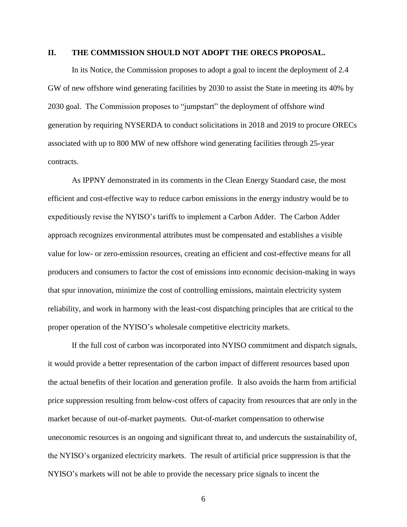#### **II. THE COMMISSION SHOULD NOT ADOPT THE ORECS PROPOSAL.**

In its Notice, the Commission proposes to adopt a goal to incent the deployment of 2.4 GW of new offshore wind generating facilities by 2030 to assist the State in meeting its 40% by 2030 goal. The Commission proposes to "jumpstart" the deployment of offshore wind generation by requiring NYSERDA to conduct solicitations in 2018 and 2019 to procure ORECs associated with up to 800 MW of new offshore wind generating facilities through 25-year contracts.

As IPPNY demonstrated in its comments in the Clean Energy Standard case, the most efficient and cost-effective way to reduce carbon emissions in the energy industry would be to expeditiously revise the NYISO's tariffs to implement a Carbon Adder. The Carbon Adder approach recognizes environmental attributes must be compensated and establishes a visible value for low- or zero-emission resources, creating an efficient and cost-effective means for all producers and consumers to factor the cost of emissions into economic decision-making in ways that spur innovation, minimize the cost of controlling emissions, maintain electricity system reliability, and work in harmony with the least-cost dispatching principles that are critical to the proper operation of the NYISO's wholesale competitive electricity markets.

If the full cost of carbon was incorporated into NYISO commitment and dispatch signals, it would provide a better representation of the carbon impact of different resources based upon the actual benefits of their location and generation profile. It also avoids the harm from artificial price suppression resulting from below-cost offers of capacity from resources that are only in the market because of out-of-market payments. Out-of-market compensation to otherwise uneconomic resources is an ongoing and significant threat to, and undercuts the sustainability of, the NYISO's organized electricity markets. The result of artificial price suppression is that the NYISO's markets will not be able to provide the necessary price signals to incent the

6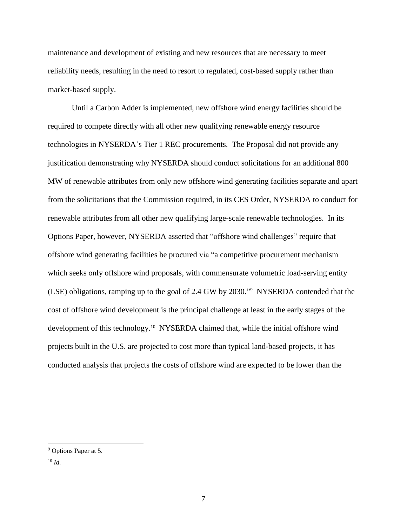maintenance and development of existing and new resources that are necessary to meet reliability needs, resulting in the need to resort to regulated, cost-based supply rather than market-based supply.

Until a Carbon Adder is implemented, new offshore wind energy facilities should be required to compete directly with all other new qualifying renewable energy resource technologies in NYSERDA's Tier 1 REC procurements. The Proposal did not provide any justification demonstrating why NYSERDA should conduct solicitations for an additional 800 MW of renewable attributes from only new offshore wind generating facilities separate and apart from the solicitations that the Commission required, in its CES Order, NYSERDA to conduct for renewable attributes from all other new qualifying large-scale renewable technologies. In its Options Paper, however, NYSERDA asserted that "offshore wind challenges" require that offshore wind generating facilities be procured via "a competitive procurement mechanism which seeks only offshore wind proposals, with commensurate volumetric load-serving entity (LSE) obligations, ramping up to the goal of 2.4 GW by 2030." <sup>9</sup> NYSERDA contended that the cost of offshore wind development is the principal challenge at least in the early stages of the development of this technology. <sup>10</sup> NYSERDA claimed that, while the initial offshore wind projects built in the U.S. are projected to cost more than typical land-based projects, it has conducted analysis that projects the costs of offshore wind are expected to be lower than the

<sup>10</sup> *Id.*

<sup>&</sup>lt;sup>9</sup> Options Paper at 5.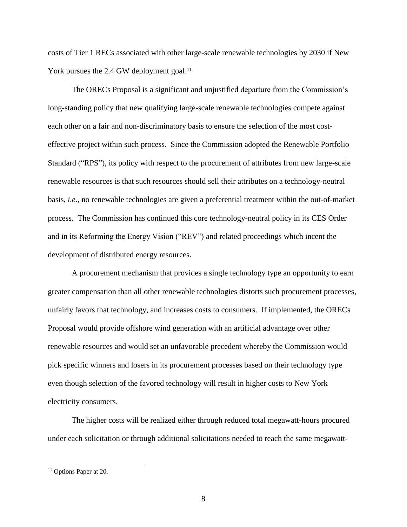costs of Tier 1 RECs associated with other large-scale renewable technologies by 2030 if New York pursues the 2.4 GW deployment goal.<sup>11</sup>

The ORECs Proposal is a significant and unjustified departure from the Commission's long-standing policy that new qualifying large-scale renewable technologies compete against each other on a fair and non-discriminatory basis to ensure the selection of the most costeffective project within such process. Since the Commission adopted the Renewable Portfolio Standard ("RPS"), its policy with respect to the procurement of attributes from new large-scale renewable resources is that such resources should sell their attributes on a technology-neutral basis, *i.e*., no renewable technologies are given a preferential treatment within the out-of-market process. The Commission has continued this core technology-neutral policy in its CES Order and in its Reforming the Energy Vision ("REV") and related proceedings which incent the development of distributed energy resources.

A procurement mechanism that provides a single technology type an opportunity to earn greater compensation than all other renewable technologies distorts such procurement processes, unfairly favors that technology, and increases costs to consumers. If implemented, the ORECs Proposal would provide offshore wind generation with an artificial advantage over other renewable resources and would set an unfavorable precedent whereby the Commission would pick specific winners and losers in its procurement processes based on their technology type even though selection of the favored technology will result in higher costs to New York electricity consumers.

The higher costs will be realized either through reduced total megawatt-hours procured under each solicitation or through additional solicitations needed to reach the same megawatt-

<sup>&</sup>lt;sup>11</sup> Options Paper at 20.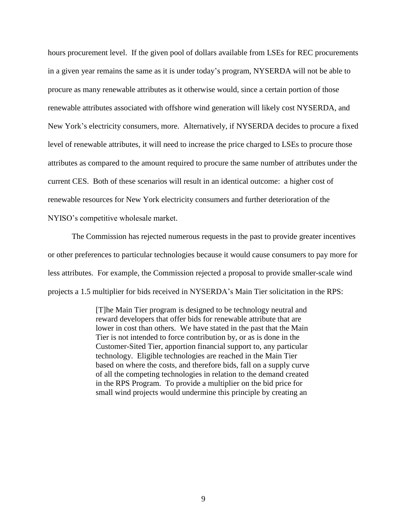hours procurement level. If the given pool of dollars available from LSEs for REC procurements in a given year remains the same as it is under today's program, NYSERDA will not be able to procure as many renewable attributes as it otherwise would, since a certain portion of those renewable attributes associated with offshore wind generation will likely cost NYSERDA, and New York's electricity consumers, more. Alternatively, if NYSERDA decides to procure a fixed level of renewable attributes, it will need to increase the price charged to LSEs to procure those attributes as compared to the amount required to procure the same number of attributes under the current CES. Both of these scenarios will result in an identical outcome: a higher cost of renewable resources for New York electricity consumers and further deterioration of the NYISO's competitive wholesale market.

The Commission has rejected numerous requests in the past to provide greater incentives or other preferences to particular technologies because it would cause consumers to pay more for less attributes. For example, the Commission rejected a proposal to provide smaller-scale wind projects a 1.5 multiplier for bids received in NYSERDA's Main Tier solicitation in the RPS:

> [T]he Main Tier program is designed to be technology neutral and reward developers that offer bids for renewable attribute that are lower in cost than others. We have stated in the past that the Main Tier is not intended to force contribution by, or as is done in the Customer-Sited Tier, apportion financial support to, any particular technology. Eligible technologies are reached in the Main Tier based on where the costs, and therefore bids, fall on a supply curve of all the competing technologies in relation to the demand created in the RPS Program. To provide a multiplier on the bid price for small wind projects would undermine this principle by creating an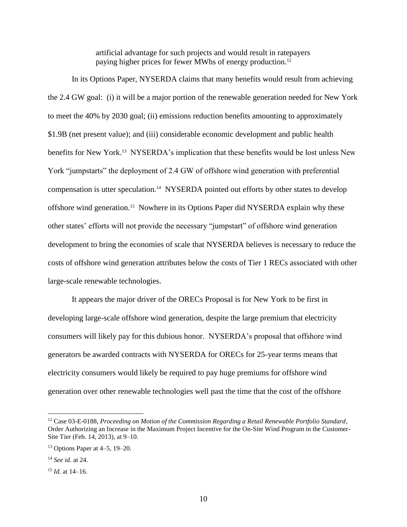artificial advantage for such projects and would result in ratepayers paying higher prices for fewer MWhs of energy production.<sup>12</sup>

In its Options Paper, NYSERDA claims that many benefits would result from achieving the 2.4 GW goal: (i) it will be a major portion of the renewable generation needed for New York to meet the 40% by 2030 goal; (ii) emissions reduction benefits amounting to approximately \$1.9B (net present value); and (iii) considerable economic development and public health benefits for New York.<sup>13</sup> NYSERDA's implication that these benefits would be lost unless New York "jumpstarts" the deployment of 2.4 GW of offshore wind generation with preferential compensation is utter speculation.<sup>14</sup> NYSERDA pointed out efforts by other states to develop offshore wind generation.<sup>15</sup> Nowhere in its Options Paper did NYSERDA explain why these other states' efforts will not provide the necessary "jumpstart" of offshore wind generation development to bring the economies of scale that NYSERDA believes is necessary to reduce the costs of offshore wind generation attributes below the costs of Tier 1 RECs associated with other large-scale renewable technologies.

It appears the major driver of the ORECs Proposal is for New York to be first in developing large-scale offshore wind generation, despite the large premium that electricity consumers will likely pay for this dubious honor. NYSERDA's proposal that offshore wind generators be awarded contracts with NYSERDA for ORECs for 25-year terms means that electricity consumers would likely be required to pay huge premiums for offshore wind generation over other renewable technologies well past the time that the cost of the offshore

<sup>12</sup> Case 03-E-0188, *Proceeding on Motion of the Commission Regarding a Retail Renewable Portfolio Standard*, Order Authorizing an Increase in the Maximum Project Incentive for the On-Site Wind Program in the Customer-Site Tier (Feb. 14, 2013), at 9–10.

<sup>13</sup> Options Paper at 4–5, 19–20.

<sup>14</sup> *See id.* at 24.

<sup>15</sup> *Id.* at 14–16.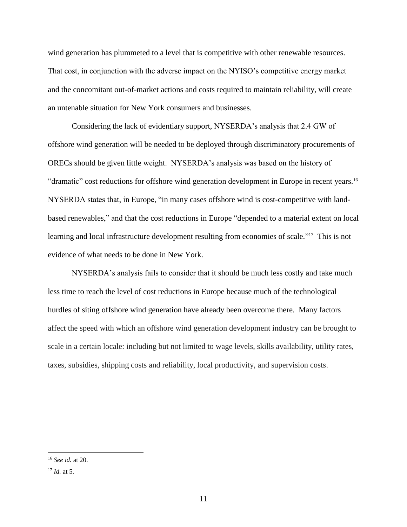wind generation has plummeted to a level that is competitive with other renewable resources. That cost, in conjunction with the adverse impact on the NYISO's competitive energy market and the concomitant out-of-market actions and costs required to maintain reliability, will create an untenable situation for New York consumers and businesses.

Considering the lack of evidentiary support, NYSERDA's analysis that 2.4 GW of offshore wind generation will be needed to be deployed through discriminatory procurements of ORECs should be given little weight. NYSERDA's analysis was based on the history of "dramatic" cost reductions for offshore wind generation development in Europe in recent years. 16 NYSERDA states that, in Europe, "in many cases offshore wind is cost-competitive with landbased renewables," and that the cost reductions in Europe "depended to a material extent on local learning and local infrastructure development resulting from economies of scale."<sup>17</sup> This is not evidence of what needs to be done in New York.

NYSERDA's analysis fails to consider that it should be much less costly and take much less time to reach the level of cost reductions in Europe because much of the technological hurdles of siting offshore wind generation have already been overcome there. Many factors affect the speed with which an offshore wind generation development industry can be brought to scale in a certain locale: including but not limited to wage levels, skills availability, utility rates, taxes, subsidies, shipping costs and reliability, local productivity, and supervision costs.

<sup>16</sup> *See id.* at 20.

<sup>17</sup> *Id.* at 5.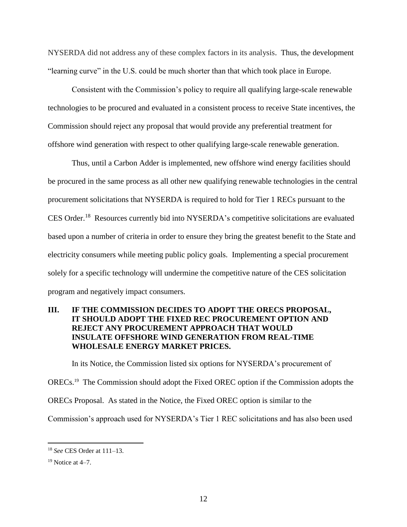NYSERDA did not address any of these complex factors in its analysis. Thus, the development "learning curve" in the U.S. could be much shorter than that which took place in Europe.

Consistent with the Commission's policy to require all qualifying large-scale renewable technologies to be procured and evaluated in a consistent process to receive State incentives, the Commission should reject any proposal that would provide any preferential treatment for offshore wind generation with respect to other qualifying large-scale renewable generation.

Thus, until a Carbon Adder is implemented, new offshore wind energy facilities should be procured in the same process as all other new qualifying renewable technologies in the central procurement solicitations that NYSERDA is required to hold for Tier 1 RECs pursuant to the CES Order.<sup>18</sup> Resources currently bid into NYSERDA's competitive solicitations are evaluated based upon a number of criteria in order to ensure they bring the greatest benefit to the State and electricity consumers while meeting public policy goals. Implementing a special procurement solely for a specific technology will undermine the competitive nature of the CES solicitation program and negatively impact consumers.

# **III. IF THE COMMISSION DECIDES TO ADOPT THE ORECS PROPOSAL, IT SHOULD ADOPT THE FIXED REC PROCUREMENT OPTION AND REJECT ANY PROCUREMENT APPROACH THAT WOULD INSULATE OFFSHORE WIND GENERATION FROM REAL-TIME WHOLESALE ENERGY MARKET PRICES.**

In its Notice, the Commission listed six options for NYSERDA's procurement of

ORECs.<sup>19</sup> The Commission should adopt the Fixed OREC option if the Commission adopts the

ORECs Proposal. As stated in the Notice, the Fixed OREC option is similar to the

Commission's approach used for NYSERDA's Tier 1 REC solicitations and has also been used

<sup>18</sup> *See* CES Order at 111–13.

 $19$  Notice at 4–7.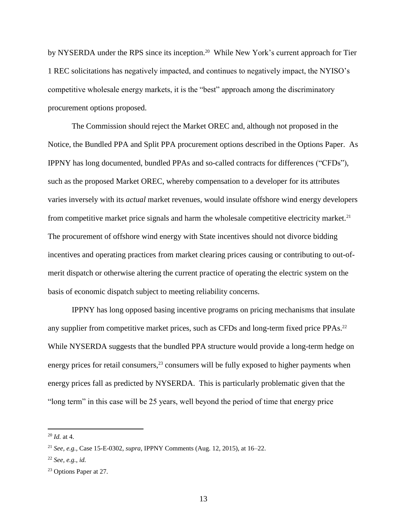by NYSERDA under the RPS since its inception.<sup>20</sup> While New York's current approach for Tier 1 REC solicitations has negatively impacted, and continues to negatively impact, the NYISO's competitive wholesale energy markets, it is the "best" approach among the discriminatory procurement options proposed.

The Commission should reject the Market OREC and, although not proposed in the Notice, the Bundled PPA and Split PPA procurement options described in the Options Paper. As IPPNY has long documented, bundled PPAs and so-called contracts for differences ("CFDs"), such as the proposed Market OREC, whereby compensation to a developer for its attributes varies inversely with its *actual* market revenues, would insulate offshore wind energy developers from competitive market price signals and harm the wholesale competitive electricity market.<sup>21</sup> The procurement of offshore wind energy with State incentives should not divorce bidding incentives and operating practices from market clearing prices causing or contributing to out-ofmerit dispatch or otherwise altering the current practice of operating the electric system on the basis of economic dispatch subject to meeting reliability concerns.

IPPNY has long opposed basing incentive programs on pricing mechanisms that insulate any supplier from competitive market prices, such as CFDs and long-term fixed price PPAs.<sup>22</sup> While NYSERDA suggests that the bundled PPA structure would provide a long-term hedge on energy prices for retail consumers, $2<sup>3</sup>$  consumers will be fully exposed to higher payments when energy prices fall as predicted by NYSERDA. This is particularly problematic given that the "long term" in this case will be 25 years, well beyond the period of time that energy price

<sup>20</sup> *Id.* at 4.

<sup>21</sup> *See, e.g.*, Case 15-E-0302, *supra*, IPPNY Comments (Aug. 12, 2015), at 16–22.

<sup>22</sup> *See, e.g.*, *id.*

<sup>23</sup> Options Paper at 27.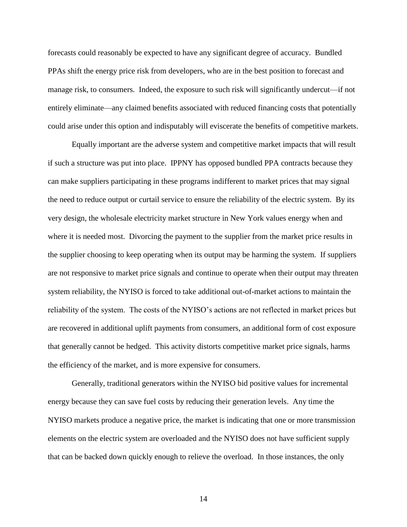forecasts could reasonably be expected to have any significant degree of accuracy. Bundled PPAs shift the energy price risk from developers, who are in the best position to forecast and manage risk, to consumers. Indeed, the exposure to such risk will significantly undercut—if not entirely eliminate—any claimed benefits associated with reduced financing costs that potentially could arise under this option and indisputably will eviscerate the benefits of competitive markets.

Equally important are the adverse system and competitive market impacts that will result if such a structure was put into place. IPPNY has opposed bundled PPA contracts because they can make suppliers participating in these programs indifferent to market prices that may signal the need to reduce output or curtail service to ensure the reliability of the electric system. By its very design, the wholesale electricity market structure in New York values energy when and where it is needed most. Divorcing the payment to the supplier from the market price results in the supplier choosing to keep operating when its output may be harming the system. If suppliers are not responsive to market price signals and continue to operate when their output may threaten system reliability, the NYISO is forced to take additional out-of-market actions to maintain the reliability of the system. The costs of the NYISO's actions are not reflected in market prices but are recovered in additional uplift payments from consumers, an additional form of cost exposure that generally cannot be hedged. This activity distorts competitive market price signals, harms the efficiency of the market, and is more expensive for consumers.

Generally, traditional generators within the NYISO bid positive values for incremental energy because they can save fuel costs by reducing their generation levels. Any time the NYISO markets produce a negative price, the market is indicating that one or more transmission elements on the electric system are overloaded and the NYISO does not have sufficient supply that can be backed down quickly enough to relieve the overload. In those instances, the only

14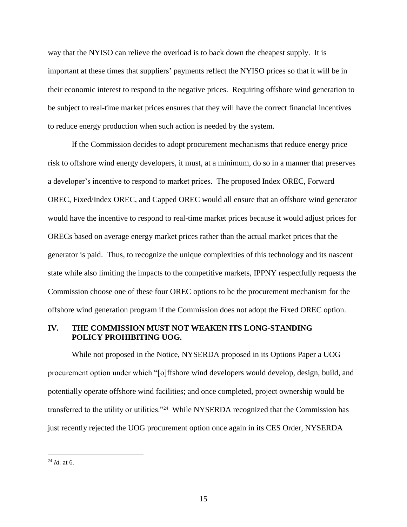way that the NYISO can relieve the overload is to back down the cheapest supply. It is important at these times that suppliers' payments reflect the NYISO prices so that it will be in their economic interest to respond to the negative prices. Requiring offshore wind generation to be subject to real-time market prices ensures that they will have the correct financial incentives to reduce energy production when such action is needed by the system.

If the Commission decides to adopt procurement mechanisms that reduce energy price risk to offshore wind energy developers, it must, at a minimum, do so in a manner that preserves a developer's incentive to respond to market prices. The proposed Index OREC, Forward OREC, Fixed/Index OREC, and Capped OREC would all ensure that an offshore wind generator would have the incentive to respond to real-time market prices because it would adjust prices for ORECs based on average energy market prices rather than the actual market prices that the generator is paid. Thus, to recognize the unique complexities of this technology and its nascent state while also limiting the impacts to the competitive markets, IPPNY respectfully requests the Commission choose one of these four OREC options to be the procurement mechanism for the offshore wind generation program if the Commission does not adopt the Fixed OREC option.

## **IV. THE COMMISSION MUST NOT WEAKEN ITS LONG-STANDING POLICY PROHIBITING UOG.**

While not proposed in the Notice, NYSERDA proposed in its Options Paper a UOG procurement option under which "[o]ffshore wind developers would develop, design, build, and potentially operate offshore wind facilities; and once completed, project ownership would be transferred to the utility or utilities."<sup>24</sup> While NYSERDA recognized that the Commission has just recently rejected the UOG procurement option once again in its CES Order, NYSERDA

<sup>24</sup> *Id.* at 6.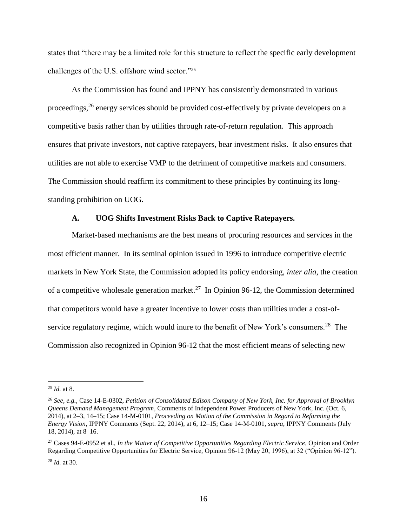states that "there may be a limited role for this structure to reflect the specific early development challenges of the U.S. offshore wind sector."<sup>25</sup>

As the Commission has found and IPPNY has consistently demonstrated in various proceedings,<sup>26</sup> energy services should be provided cost-effectively by private developers on a competitive basis rather than by utilities through rate-of-return regulation. This approach ensures that private investors, not captive ratepayers, bear investment risks. It also ensures that utilities are not able to exercise VMP to the detriment of competitive markets and consumers. The Commission should reaffirm its commitment to these principles by continuing its longstanding prohibition on UOG.

#### **A. UOG Shifts Investment Risks Back to Captive Ratepayers.**

Market-based mechanisms are the best means of procuring resources and services in the most efficient manner. In its seminal opinion issued in 1996 to introduce competitive electric markets in New York State, the Commission adopted its policy endorsing, *inter alia*, the creation of a competitive wholesale generation market.<sup>27</sup> In Opinion 96-12, the Commission determined that competitors would have a greater incentive to lower costs than utilities under a cost-ofservice regulatory regime, which would inure to the benefit of New York's consumers.<sup>28</sup> The Commission also recognized in Opinion 96-12 that the most efficient means of selecting new

<sup>25</sup> *Id.* at 8.

<sup>26</sup> *See, e.g.*, Case 14-E-0302, *Petition of Consolidated Edison Company of New York, Inc. for Approval of Brooklyn Queens Demand Management Program*, Comments of Independent Power Producers of New York, Inc. (Oct. 6, 2014), at 2–3, 14–15; Case 14-M-0101, *Proceeding on Motion of the Commission in Regard to Reforming the Energy Vision*, IPPNY Comments (Sept. 22, 2014), at 6, 12–15; Case 14-M-0101, *supra*, IPPNY Comments (July 18, 2014), at 8–16.

<sup>27</sup> Cases 94-E-0952 et al., *In the Matter of Competitive Opportunities Regarding Electric Service*, Opinion and Order Regarding Competitive Opportunities for Electric Service, Opinion 96-12 (May 20, 1996), at 32 ("Opinion 96-12").

<sup>28</sup> *Id.* at 30.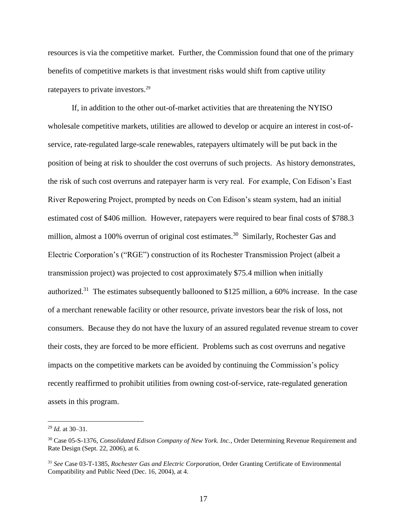resources is via the competitive market. Further, the Commission found that one of the primary benefits of competitive markets is that investment risks would shift from captive utility ratepayers to private investors.<sup>29</sup>

If, in addition to the other out-of-market activities that are threatening the NYISO wholesale competitive markets, utilities are allowed to develop or acquire an interest in cost-ofservice, rate-regulated large-scale renewables, ratepayers ultimately will be put back in the position of being at risk to shoulder the cost overruns of such projects. As history demonstrates, the risk of such cost overruns and ratepayer harm is very real. For example, Con Edison's East River Repowering Project, prompted by needs on Con Edison's steam system, had an initial estimated cost of \$406 million. However, ratepayers were required to bear final costs of \$788.3 million, almost a 100% overrun of original cost estimates.<sup>30</sup> Similarly, Rochester Gas and Electric Corporation's ("RGE") construction of its Rochester Transmission Project (albeit a transmission project) was projected to cost approximately \$75.4 million when initially authorized.<sup>31</sup> The estimates subsequently ballooned to \$125 million, a 60% increase. In the case of a merchant renewable facility or other resource, private investors bear the risk of loss, not consumers. Because they do not have the luxury of an assured regulated revenue stream to cover their costs, they are forced to be more efficient. Problems such as cost overruns and negative impacts on the competitive markets can be avoided by continuing the Commission's policy recently reaffirmed to prohibit utilities from owning cost-of-service, rate-regulated generation assets in this program.

<sup>29</sup> *Id.* at 30–31.

<sup>30</sup> Case 05-S-1376, *Consolidated Edison Company of New York. Inc.*, Order Determining Revenue Requirement and Rate Design (Sept. 22, 2006), at 6.

<sup>31</sup> *See* Case 03-T-1385, *Rochester Gas and Electric Corporation,* Order Granting Certificate of Environmental Compatibility and Public Need (Dec. 16, 2004), at 4.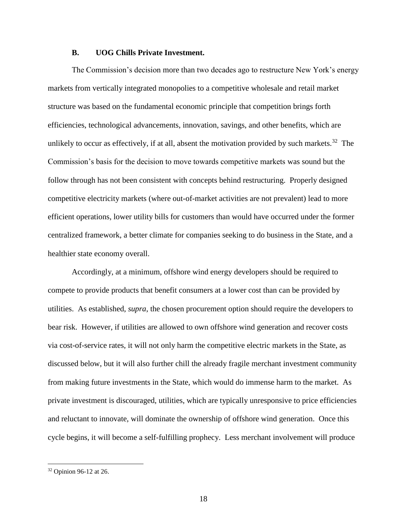#### **B. UOG Chills Private Investment.**

The Commission's decision more than two decades ago to restructure New York's energy markets from vertically integrated monopolies to a competitive wholesale and retail market structure was based on the fundamental economic principle that competition brings forth efficiencies, technological advancements, innovation, savings, and other benefits, which are unlikely to occur as effectively, if at all, absent the motivation provided by such markets.<sup>32</sup> The Commission's basis for the decision to move towards competitive markets was sound but the follow through has not been consistent with concepts behind restructuring. Properly designed competitive electricity markets (where out-of-market activities are not prevalent) lead to more efficient operations, lower utility bills for customers than would have occurred under the former centralized framework, a better climate for companies seeking to do business in the State, and a healthier state economy overall.

Accordingly, at a minimum, offshore wind energy developers should be required to compete to provide products that benefit consumers at a lower cost than can be provided by utilities. As established, *supra*, the chosen procurement option should require the developers to bear risk. However, if utilities are allowed to own offshore wind generation and recover costs via cost-of-service rates, it will not only harm the competitive electric markets in the State, as discussed below, but it will also further chill the already fragile merchant investment community from making future investments in the State, which would do immense harm to the market. As private investment is discouraged, utilities, which are typically unresponsive to price efficiencies and reluctant to innovate, will dominate the ownership of offshore wind generation. Once this cycle begins, it will become a self-fulfilling prophecy. Less merchant involvement will produce

<sup>32</sup> Opinion 96-12 at 26.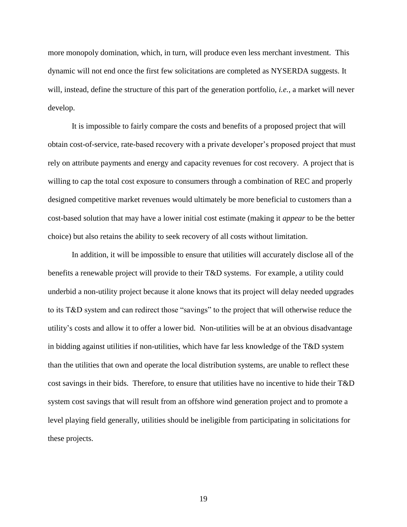more monopoly domination, which, in turn, will produce even less merchant investment. This dynamic will not end once the first few solicitations are completed as NYSERDA suggests. It will, instead, define the structure of this part of the generation portfolio, *i.e.*, a market will never develop.

It is impossible to fairly compare the costs and benefits of a proposed project that will obtain cost-of-service, rate-based recovery with a private developer's proposed project that must rely on attribute payments and energy and capacity revenues for cost recovery. A project that is willing to cap the total cost exposure to consumers through a combination of REC and properly designed competitive market revenues would ultimately be more beneficial to customers than a cost-based solution that may have a lower initial cost estimate (making it *appear* to be the better choice) but also retains the ability to seek recovery of all costs without limitation.

In addition, it will be impossible to ensure that utilities will accurately disclose all of the benefits a renewable project will provide to their T&D systems. For example, a utility could underbid a non-utility project because it alone knows that its project will delay needed upgrades to its T&D system and can redirect those "savings" to the project that will otherwise reduce the utility's costs and allow it to offer a lower bid. Non-utilities will be at an obvious disadvantage in bidding against utilities if non-utilities, which have far less knowledge of the T&D system than the utilities that own and operate the local distribution systems, are unable to reflect these cost savings in their bids. Therefore, to ensure that utilities have no incentive to hide their T&D system cost savings that will result from an offshore wind generation project and to promote a level playing field generally, utilities should be ineligible from participating in solicitations for these projects.

19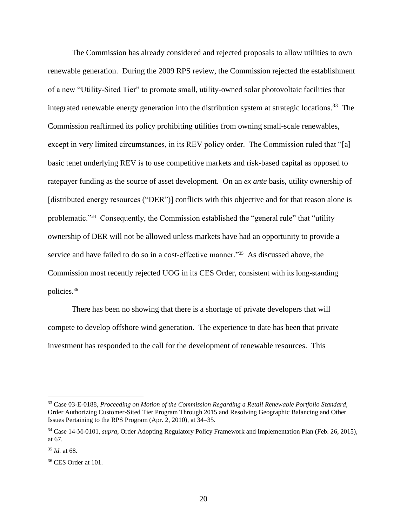The Commission has already considered and rejected proposals to allow utilities to own renewable generation. During the 2009 RPS review, the Commission rejected the establishment of a new "Utility-Sited Tier" to promote small, utility-owned solar photovoltaic facilities that integrated renewable energy generation into the distribution system at strategic locations.<sup>33</sup> The Commission reaffirmed its policy prohibiting utilities from owning small-scale renewables, except in very limited circumstances, in its REV policy order. The Commission ruled that "[a] basic tenet underlying REV is to use competitive markets and risk-based capital as opposed to ratepayer funding as the source of asset development. On an *ex ante* basis, utility ownership of [distributed energy resources ("DER")] conflicts with this objective and for that reason alone is problematic."<sup>34</sup> Consequently, the Commission established the "general rule" that "utility ownership of DER will not be allowed unless markets have had an opportunity to provide a service and have failed to do so in a cost-effective manner."<sup>35</sup> As discussed above, the Commission most recently rejected UOG in its CES Order, consistent with its long-standing policies.<sup>36</sup>

There has been no showing that there is a shortage of private developers that will compete to develop offshore wind generation. The experience to date has been that private investment has responded to the call for the development of renewable resources. This

<sup>33</sup> Case 03-E-0188, *Proceeding on Motion of the Commission Regarding a Retail Renewable Portfolio Standard*, Order Authorizing Customer-Sited Tier Program Through 2015 and Resolving Geographic Balancing and Other Issues Pertaining to the RPS Program (Apr. 2, 2010), at 34–35.

<sup>34</sup> Case 14-M-0101, *supra*, Order Adopting Regulatory Policy Framework and Implementation Plan (Feb. 26, 2015), at 67.

<sup>35</sup> *Id.* at 68.

<sup>&</sup>lt;sup>36</sup> CES Order at 101.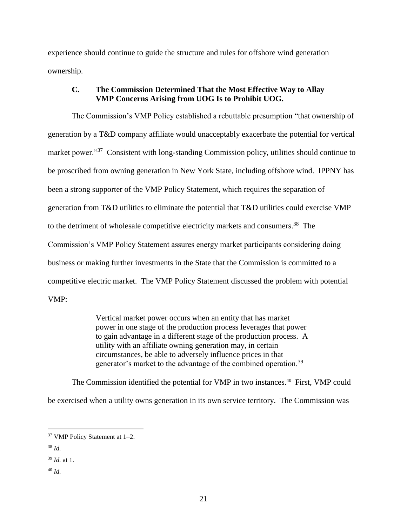experience should continue to guide the structure and rules for offshore wind generation ownership.

## **C. The Commission Determined That the Most Effective Way to Allay VMP Concerns Arising from UOG Is to Prohibit UOG.**

The Commission's VMP Policy established a rebuttable presumption "that ownership of generation by a T&D company affiliate would unacceptably exacerbate the potential for vertical market power."<sup>37</sup> Consistent with long-standing Commission policy, utilities should continue to be proscribed from owning generation in New York State, including offshore wind. IPPNY has been a strong supporter of the VMP Policy Statement, which requires the separation of generation from T&D utilities to eliminate the potential that T&D utilities could exercise VMP to the detriment of wholesale competitive electricity markets and consumers.<sup>38</sup> The Commission's VMP Policy Statement assures energy market participants considering doing business or making further investments in the State that the Commission is committed to a competitive electric market. The VMP Policy Statement discussed the problem with potential VMP:

> Vertical market power occurs when an entity that has market power in one stage of the production process leverages that power to gain advantage in a different stage of the production process. A utility with an affiliate owning generation may, in certain circumstances, be able to adversely influence prices in that generator's market to the advantage of the combined operation.<sup>39</sup>

The Commission identified the potential for VMP in two instances.<sup>40</sup> First, VMP could be exercised when a utility owns generation in its own service territory. The Commission was

<sup>38</sup> *Id.*

- <sup>39</sup> *Id.* at 1.
- <sup>40</sup> *Id.*

<sup>37</sup> VMP Policy Statement at 1–2.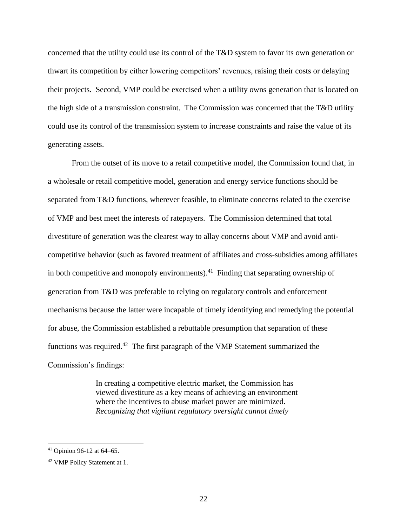concerned that the utility could use its control of the T&D system to favor its own generation or thwart its competition by either lowering competitors' revenues, raising their costs or delaying their projects. Second, VMP could be exercised when a utility owns generation that is located on the high side of a transmission constraint. The Commission was concerned that the T&D utility could use its control of the transmission system to increase constraints and raise the value of its generating assets.

From the outset of its move to a retail competitive model, the Commission found that, in a wholesale or retail competitive model, generation and energy service functions should be separated from T&D functions, wherever feasible, to eliminate concerns related to the exercise of VMP and best meet the interests of ratepayers. The Commission determined that total divestiture of generation was the clearest way to allay concerns about VMP and avoid anticompetitive behavior (such as favored treatment of affiliates and cross-subsidies among affiliates in both competitive and monopoly environments). $^{41}$  Finding that separating ownership of generation from T&D was preferable to relying on regulatory controls and enforcement mechanisms because the latter were incapable of timely identifying and remedying the potential for abuse, the Commission established a rebuttable presumption that separation of these functions was required.<sup>42</sup> The first paragraph of the VMP Statement summarized the Commission's findings:

> In creating a competitive electric market, the Commission has viewed divestiture as a key means of achieving an environment where the incentives to abuse market power are minimized. *Recognizing that vigilant regulatory oversight cannot timely*

<sup>41</sup> Opinion 96-12 at 64–65.

<sup>42</sup> VMP Policy Statement at 1.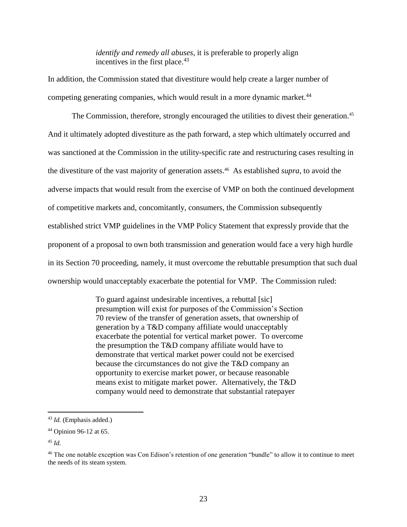*identify and remedy all abuses*, it is preferable to properly align incentives in the first place. $43$ 

In addition, the Commission stated that divestiture would help create a larger number of competing generating companies, which would result in a more dynamic market.<sup>44</sup>

The Commission, therefore, strongly encouraged the utilities to divest their generation.<sup>45</sup> And it ultimately adopted divestiture as the path forward, a step which ultimately occurred and was sanctioned at the Commission in the utility-specific rate and restructuring cases resulting in the divestiture of the vast majority of generation assets. 46 As established *supra*, to avoid the adverse impacts that would result from the exercise of VMP on both the continued development of competitive markets and, concomitantly, consumers, the Commission subsequently established strict VMP guidelines in the VMP Policy Statement that expressly provide that the proponent of a proposal to own both transmission and generation would face a very high hurdle in its Section 70 proceeding, namely, it must overcome the rebuttable presumption that such dual ownership would unacceptably exacerbate the potential for VMP. The Commission ruled:

> To guard against undesirable incentives, a rebuttal [sic] presumption will exist for purposes of the Commission's Section 70 review of the transfer of generation assets, that ownership of generation by a T&D company affiliate would unacceptably exacerbate the potential for vertical market power. To overcome the presumption the T&D company affiliate would have to demonstrate that vertical market power could not be exercised because the circumstances do not give the T&D company an opportunity to exercise market power, or because reasonable means exist to mitigate market power. Alternatively, the T&D company would need to demonstrate that substantial ratepayer

<sup>43</sup> *Id.* (Emphasis added.)

<sup>44</sup> Opinion 96-12 at 65.

<sup>45</sup> *Id.*

<sup>46</sup> The one notable exception was Con Edison's retention of one generation "bundle" to allow it to continue to meet the needs of its steam system.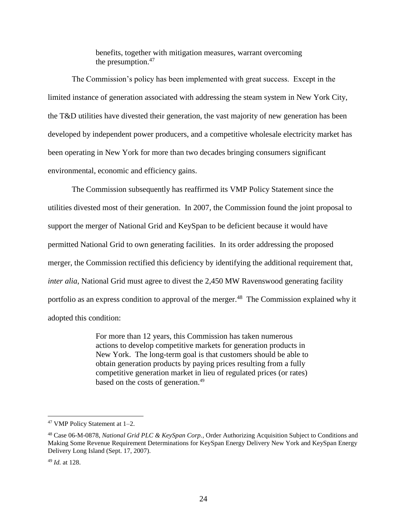benefits, together with mitigation measures, warrant overcoming the presumption.<sup>47</sup>

The Commission's policy has been implemented with great success. Except in the limited instance of generation associated with addressing the steam system in New York City, the T&D utilities have divested their generation, the vast majority of new generation has been developed by independent power producers, and a competitive wholesale electricity market has been operating in New York for more than two decades bringing consumers significant environmental, economic and efficiency gains.

The Commission subsequently has reaffirmed its VMP Policy Statement since the utilities divested most of their generation. In 2007, the Commission found the joint proposal to support the merger of National Grid and KeySpan to be deficient because it would have permitted National Grid to own generating facilities. In its order addressing the proposed merger, the Commission rectified this deficiency by identifying the additional requirement that, *inter alia*, National Grid must agree to divest the 2,450 MW Ravenswood generating facility portfolio as an express condition to approval of the merger.<sup>48</sup> The Commission explained why it adopted this condition:

> For more than 12 years, this Commission has taken numerous actions to develop competitive markets for generation products in New York. The long-term goal is that customers should be able to obtain generation products by paying prices resulting from a fully competitive generation market in lieu of regulated prices (or rates) based on the costs of generation.<sup>49</sup>

<sup>47</sup> VMP Policy Statement at 1–2.

<sup>48</sup> Case 06-M-0878, *National Grid PLC & KeySpan Corp.*, Order Authorizing Acquisition Subject to Conditions and Making Some Revenue Requirement Determinations for KeySpan Energy Delivery New York and KeySpan Energy Delivery Long Island (Sept. 17, 2007).

<sup>49</sup> *Id.* at 128.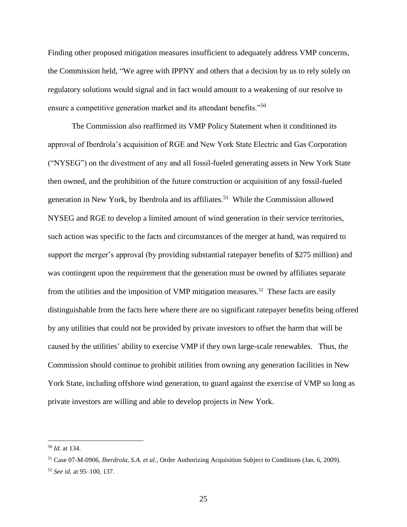Finding other proposed mitigation measures insufficient to adequately address VMP concerns, the Commission held, "We agree with IPPNY and others that a decision by us to rely solely on regulatory solutions would signal and in fact would amount to a weakening of our resolve to ensure a competitive generation market and its attendant benefits."<sup>50</sup>

The Commission also reaffirmed its VMP Policy Statement when it conditioned its approval of Iberdrola's acquisition of RGE and New York State Electric and Gas Corporation ("NYSEG") on the divestment of any and all fossil-fueled generating assets in New York State then owned, and the prohibition of the future construction or acquisition of any fossil-fueled generation in New York, by Iberdrola and its affiliates.<sup>51</sup> While the Commission allowed NYSEG and RGE to develop a limited amount of wind generation in their service territories, such action was specific to the facts and circumstances of the merger at hand, was required to support the merger's approval (by providing substantial ratepayer benefits of \$275 million) and was contingent upon the requirement that the generation must be owned by affiliates separate from the utilities and the imposition of VMP mitigation measures.<sup>52</sup> These facts are easily distinguishable from the facts here where there are no significant ratepayer benefits being offered by any utilities that could not be provided by private investors to offset the harm that will be caused by the utilities' ability to exercise VMP if they own large-scale renewables. Thus, the Commission should continue to prohibit utilities from owning any generation facilities in New York State, including offshore wind generation, to guard against the exercise of VMP so long as private investors are willing and able to develop projects in New York.

<sup>50</sup> *Id.* at 134.

<sup>51</sup> Case 07-M-0906, *Iberdrola, S.A. et al.*, Order Authorizing Acquisition Subject to Conditions (Jan. 6, 2009). <sup>52</sup> *See id.* at 95–100, 137.